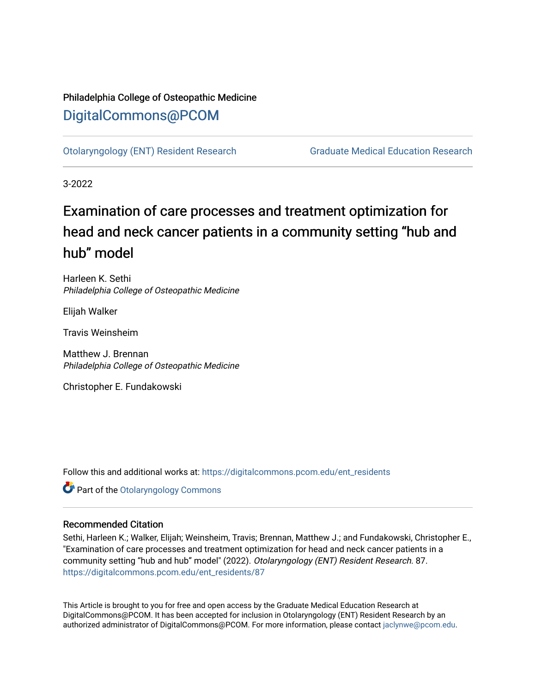# Philadelphia College of Osteopathic Medicine [DigitalCommons@PCOM](https://digitalcommons.pcom.edu/)

[Otolaryngology \(ENT\) Resident Research](https://digitalcommons.pcom.edu/ent_residents) [Graduate Medical Education Research](https://digitalcommons.pcom.edu/graduate_medical_education_research) 

3-2022

# Examination of care processes and treatment optimization for head and neck cancer patients in a community setting "hub and hub" model

Harleen K. Sethi Philadelphia College of Osteopathic Medicine

Elijah Walker

Travis Weinsheim

Matthew J. Brennan Philadelphia College of Osteopathic Medicine

Christopher E. Fundakowski

Follow this and additional works at: [https://digitalcommons.pcom.edu/ent\\_residents](https://digitalcommons.pcom.edu/ent_residents?utm_source=digitalcommons.pcom.edu%2Fent_residents%2F87&utm_medium=PDF&utm_campaign=PDFCoverPages)

**Part of the Otolaryngology Commons** 

# Recommended Citation

Sethi, Harleen K.; Walker, Elijah; Weinsheim, Travis; Brennan, Matthew J.; and Fundakowski, Christopher E., "Examination of care processes and treatment optimization for head and neck cancer patients in a community setting "hub and hub" model" (2022). Otolaryngology (ENT) Resident Research. 87. [https://digitalcommons.pcom.edu/ent\\_residents/87](https://digitalcommons.pcom.edu/ent_residents/87?utm_source=digitalcommons.pcom.edu%2Fent_residents%2F87&utm_medium=PDF&utm_campaign=PDFCoverPages) 

This Article is brought to you for free and open access by the Graduate Medical Education Research at DigitalCommons@PCOM. It has been accepted for inclusion in Otolaryngology (ENT) Resident Research by an authorized administrator of DigitalCommons@PCOM. For more information, please contact [jaclynwe@pcom.edu](mailto:jaclynwe@pcom.edu).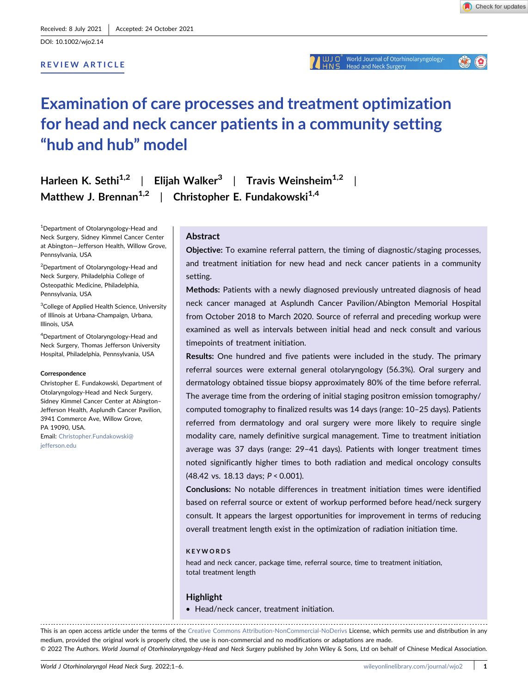DOI: 10.1002/wjo2.14

#### REVIEW ARTICLE

# Examination of care processes and treatment optimization for head and neck cancer patients in a community setting "hub and hub" model

Harleen K. Sethi<sup>1,2</sup> | Elijah Walker<sup>3</sup> | Travis Weinsheim<sup>1,2</sup> Matthew J. Brennan<sup>1,2</sup> | Christopher E. Fundakowski<sup>1,4</sup>

1 Department of Otolaryngology‐Head and Neck Surgery, Sidney Kimmel Cancer Center at Abington—Jefferson Health, Willow Grove, Pennsylvania, USA

2 Department of Otolaryngology‐Head and Neck Surgery, Philadelphia College of Osteopathic Medicine, Philadelphia, Pennsylvania, USA

<sup>3</sup>College of Applied Health Science, University of Illinois at Urbana‐Champaign, Urbana, Illinois, USA

4 Department of Otolaryngology‐Head and Neck Surgery, Thomas Jefferson University Hospital, Philadelphia, Pennsylvania, USA

#### Correspondence

Christopher E. Fundakowski, Department of Otolaryngology‐Head and Neck Surgery, Sidney Kimmel Cancer Center at Abington– Jefferson Health, Asplundh Cancer Pavilion, 3941 Commerce Ave, Willow Grove, PA 19090, USA.

Email: [Christopher.Fundakowski@](mailto:Christopher.Fundakowski@jefferson.edu) [jefferson.edu](mailto:Christopher.Fundakowski@jefferson.edu)

## Abstract

Objective: To examine referral pattern, the timing of diagnostic/staging processes, and treatment initiation for new head and neck cancer patients in a community setting.

Methods: Patients with a newly diagnosed previously untreated diagnosis of head neck cancer managed at Asplundh Cancer Pavilion/Abington Memorial Hospital from October 2018 to March 2020. Source of referral and preceding workup were examined as well as intervals between initial head and neck consult and various timepoints of treatment initiation.

Results: One hundred and five patients were included in the study. The primary referral sources were external general otolaryngology (56.3%). Oral surgery and dermatology obtained tissue biopsy approximately 80% of the time before referral. The average time from the ordering of initial staging positron emission tomography/ computed tomography to finalized results was 14 days (range: 10–25 days). Patients referred from dermatology and oral surgery were more likely to require single modality care, namely definitive surgical management. Time to treatment initiation average was 37 days (range: 29–41 days). Patients with longer treatment times noted significantly higher times to both radiation and medical oncology consults (48.42 vs. 18.13 days; P < 0.001).

Conclusions: No notable differences in treatment initiation times were identified based on referral source or extent of workup performed before head/neck surgery consult. It appears the largest opportunities for improvement in terms of reducing overall treatment length exist in the optimization of radiation initiation time.

#### **KEYWORDS**

head and neck cancer, package time, referral source, time to treatment initiation, total treatment length

#### Highlight

• Head/neck cancer, treatment initiation.

This is an open access article under the terms of the [Creative Commons Attribution](http://creativecommons.org/licenses/by-nc-nd/4.0/)-NonCommercial-NoDerivs License, which permits use and distribution in any medium, provided the original work is properly cited, the use is non‐commercial and no modifications or adaptations are made. © 2022 The Authors. World Journal of Otorhinolaryngology‐Head and Neck Surgery published by John Wiley & Sons, Ltd on behalf of Chinese Medical Association.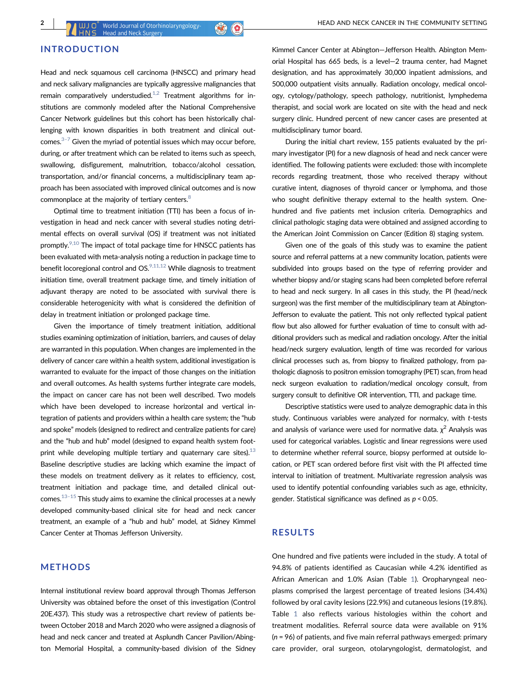# INTRODUCTION

Head and neck squamous cell carcinoma (HNSCC) and primary head and neck salivary malignancies are typically aggressive malignancies that remain comparatively understudied.<sup>1,2</sup> Treatment algorithms for institutions are commonly modeled after the National Comprehensive Cancer Network guidelines but this cohort has been historically challenging with known disparities in both treatment and clinical outcomes. $3-7$  Given the myriad of potential issues which may occur before, during, or after treatment which can be related to items such as speech, swallowing, disfigurement, malnutrition, tobacco/alcohol cessation, transportation, and/or financial concerns, a multidisciplinary team approach has been associated with improved clinical outcomes and is now commonplace at the majority of tertiary centers.<sup>8</sup>

Optimal time to treatment initiation (TTI) has been a focus of investigation in head and neck cancer with several studies noting detrimental effects on overall survival (OS) if treatment was not initiated promptly. $9,10$  The impact of total package time for HNSCC patients has been evaluated with meta‐analysis noting a reduction in package time to benefit locoregional control and  $OS^{9,11,12}$  While diagnosis to treatment initiation time, overall treatment package time, and timely initiation of adjuvant therapy are noted to be associated with survival there is considerable heterogenicity with what is considered the definition of delay in treatment initiation or prolonged package time.

Given the importance of timely treatment initiation, additional studies examining optimization of initiation, barriers, and causes of delay are warranted in this population. When changes are implemented in the delivery of cancer care within a health system, additional investigation is warranted to evaluate for the impact of those changes on the initiation and overall outcomes. As health systems further integrate care models, the impact on cancer care has not been well described. Two models which have been developed to increase horizontal and vertical integration of patients and providers within a health care system; the "hub and spoke" models (designed to redirect and centralize patients for care) and the "hub and hub" model (designed to expand health system footprint while developing multiple tertiary and quaternary care sites). $^{13}$  $^{13}$  $^{13}$ Baseline descriptive studies are lacking which examine the impact of these models on treatment delivery as it relates to efficiency, cost, treatment initiation and package time, and detailed clinical outcomes. $13-15$  This study aims to examine the clinical processes at a newly developed community‐based clinical site for head and neck cancer treatment, an example of a "hub and hub" model, at Sidney Kimmel Cancer Center at Thomas Jefferson University.

#### METHODS

Internal institutional review board approval through Thomas Jefferson University was obtained before the onset of this investigation (Control 20E.437). This study was a retrospective chart review of patients between October 2018 and March 2020 who were assigned a diagnosis of head and neck cancer and treated at Asplundh Cancer Pavilion/Abington Memorial Hospital, a community‐based division of the Sidney

Kimmel Cancer Center at Abington—Jefferson Health. Abington Memorial Hospital has 665 beds, is a level—2 trauma center, had Magnet designation, and has approximately 30,000 inpatient admissions, and 500,000 outpatient visits annually. Radiation oncology, medical oncology, cytology/pathology, speech pathology, nutritionist, lymphedema therapist, and social work are located on site with the head and neck surgery clinic. Hundred percent of new cancer cases are presented at multidisciplinary tumor board.

During the initial chart review, 155 patients evaluated by the primary investigator (PI) for a new diagnosis of head and neck cancer were identified. The following patients were excluded: those with incomplete records regarding treatment, those who received therapy without curative intent, diagnoses of thyroid cancer or lymphoma, and those who sought definitive therapy external to the health system. Onehundred and five patients met inclusion criteria. Demographics and clinical pathologic staging data were obtained and assigned according to the American Joint Commission on Cancer (Edition 8) staging system.

Given one of the goals of this study was to examine the patient source and referral patterns at a new community location, patients were subdivided into groups based on the type of referring provider and whether biopsy and/or staging scans had been completed before referral to head and neck surgery. In all cases in this study, the PI (head/neck surgeon) was the first member of the multidisciplinary team at Abington-Jefferson to evaluate the patient. This not only reflected typical patient flow but also allowed for further evaluation of time to consult with additional providers such as medical and radiation oncology. After the initial head/neck surgery evaluation, length of time was recorded for various clinical processes such as, from biopsy to finalized pathology, from pathologic diagnosis to positron emission tomography (PET) scan, from head neck surgeon evaluation to radiation/medical oncology consult, from surgery consult to definitive OR intervention, TTI, and package time.

Descriptive statistics were used to analyze demographic data in this study. Continuous variables were analyzed for normalcy, with t-tests and analysis of variance were used for normative data.  $\chi^2$  Analysis was used for categorical variables. Logistic and linear regressions were used to determine whether referral source, biopsy performed at outside location, or PET scan ordered before first visit with the PI affected time interval to initiation of treatment. Multivariate regression analysis was used to identify potential confounding variables such as age, ethnicity, gender. Statistical significance was defined as  $p < 0.05$ .

### RESULTS

One hundred and five patients were included in the study. A total of 94.8% of patients identified as Caucasian while 4.2% identified as African American and 1.0% Asian (Table [1\)](#page-3-0). Oropharyngeal neoplasms comprised the largest percentage of treated lesions (34.4%) followed by oral cavity lesions (22.9%) and cutaneous lesions (19.8%). Table [1](#page-3-0) also reflects various histologies within the cohort and treatment modalities. Referral source data were available on 91%  $(n = 96)$  of patients, and five main referral pathways emerged: primary care provider, oral surgeon, otolaryngologist, dermatologist, and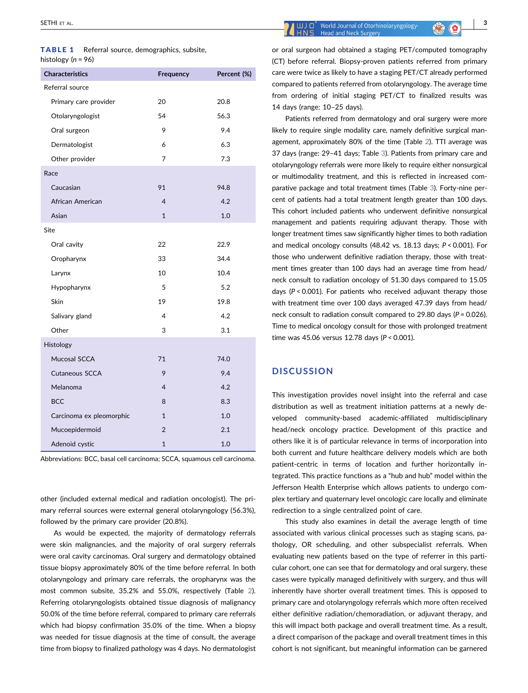<span id="page-3-0"></span>

| <b>TABLE 1</b>       |  | Referral source, demographics, subsite, |  |
|----------------------|--|-----------------------------------------|--|
| histology $(n = 96)$ |  |                                         |  |

| <b>Characteristics</b>   | Frequency                | Percent (%) |
|--------------------------|--------------------------|-------------|
| Referral source          |                          |             |
| Primary care provider    | 20                       | 20.8        |
| Otolaryngologist         | 54                       | 56.3        |
| Oral surgeon             | 9                        | 9.4         |
| Dermatologist            | 6                        | 6.3         |
| Other provider           | 7                        | 7.3         |
| Race                     |                          |             |
| Caucasian                | 91                       | 94.8        |
| African American         | $\overline{4}$           | 4.2         |
| Asian                    | $\mathbf{1}$             | 1.0         |
| Site                     |                          |             |
| Oral cavity              | 22                       | 22.9        |
| Oropharynx               | 33                       | 34.4        |
| Larynx                   | 10                       | 10.4        |
| Hypopharynx              | 5                        | 5.2         |
| Skin                     | 19                       | 19.8        |
| Salivary gland           | $\overline{\mathcal{L}}$ | 4.2         |
| Other                    | 3                        | 3.1         |
| Histology                |                          |             |
| Mucosal SCCA             | 71                       | 74.0        |
| Cutaneous SCCA           | 9                        | 9.4         |
| Melanoma                 | $\overline{4}$           | 4.2         |
| <b>BCC</b>               | 8                        | 8.3         |
| Carcinoma ex pleomorphic | $\mathbf{1}$             | 1.0         |
| Mucoepidermoid           | $\overline{2}$           | 2.1         |
| Adenoid cystic           | $\mathbf{1}$             | 1.0         |

Abbreviations: BCC, basal cell carcinoma; SCCA, squamous cell carcinoma.

other (included external medical and radiation oncologist). The primary referral sources were external general otolaryngology (56.3%), followed by the primary care provider (20.8%).

As would be expected, the majority of dermatology referrals were skin malignancies, and the majority of oral surgery referrals were oral cavity carcinomas. Oral surgery and dermatology obtained tissue biopsy approximately 80% of the time before referral. In both otolaryngology and primary care referrals, the oropharynx was the most common subsite, 35.2% and 55.0%, respectively (Table [2](#page-4-0)). Referring otolaryngologists obtained tissue diagnosis of malignancy 50.0% of the time before referral, compared to primary care referrals which had biopsy confirmation 35.0% of the time. When a biopsy was needed for tissue diagnosis at the time of consult, the average time from biopsy to finalized pathology was 4 days. No dermatologist

or oral surgeon had obtained a staging PET/computed tomography (CT) before referral. Biopsy‐proven patients referred from primary care were twice as likely to have a staging PET/CT already performed compared to patients referred from otolaryngology. The average time from ordering of initial staging PET/CT to finalized results was 14 days (range: 10–25 days).

Patients referred from dermatology and oral surgery were more likely to require single modality care, namely definitive surgical management, approximately 80% of the time (Table [2](#page-4-0)). TTI average was 37 days (range: 29–41 days; Table [3\)](#page-4-1). Patients from primary care and otolaryngology referrals were more likely to require either nonsurgical or multimodality treatment, and this is reflected in increased comparative package and total treatment times (Table [3\)](#page-4-1). Forty‐nine percent of patients had a total treatment length greater than 100 days. This cohort included patients who underwent definitive nonsurgical management and patients requiring adjuvant therapy. Those with longer treatment times saw significantly higher times to both radiation and medical oncology consults (48.42 vs. 18.13 days; P < 0.001). For those who underwent definitive radiation therapy, those with treatment times greater than 100 days had an average time from head/ neck consult to radiation oncology of 51.30 days compared to 15.05 days ( $P < 0.001$ ). For patients who received adjuvant therapy those with treatment time over 100 days averaged 47.39 days from head/ neck consult to radiation consult compared to 29.80 days ( $P = 0.026$ ). Time to medical oncology consult for those with prolonged treatment time was 45.06 versus 12.78 days (P < 0.001).

#### **DISCUSSION**

This investigation provides novel insight into the referral and case distribution as well as treatment initiation patterns at a newly developed community‐based academic‐affiliated multidisciplinary head/neck oncology practice. Development of this practice and others like it is of particular relevance in terms of incorporation into both current and future healthcare delivery models which are both patient-centric in terms of location and further horizontally integrated. This practice functions as a "hub and hub" model within the Jefferson Health Enterprise which allows patients to undergo complex tertiary and quaternary level oncologic care locally and eliminate redirection to a single centralized point of care.

This study also examines in detail the average length of time associated with various clinical processes such as staging scans, pathology, OR scheduling, and other subspecialist referrals. When evaluating new patients based on the type of referrer in this particular cohort, one can see that for dermatology and oral surgery, these cases were typically managed definitively with surgery, and thus will inherently have shorter overall treatment times. This is opposed to primary care and otolaryngology referrals which more often received either definitive radiation/chemoradiation, or adjuvant therapy, and this will impact both package and overall treatment time. As a result, a direct comparison of the package and overall treatment times in this cohort is not significant, but meaningful information can be garnered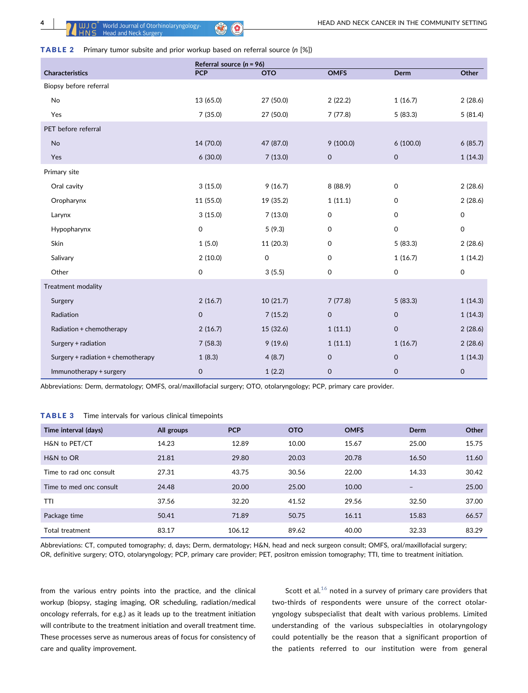<span id="page-4-0"></span>

|  | <b>TABLE 2</b> Primary tumor subsite and prior workup based on referral source (n [%]) |  |  |  |  |  |  |  |  |
|--|----------------------------------------------------------------------------------------|--|--|--|--|--|--|--|--|
|--|----------------------------------------------------------------------------------------|--|--|--|--|--|--|--|--|

|                                    | Referral source $(n = 96)$ |            |                     |             |                     |  |  |
|------------------------------------|----------------------------|------------|---------------------|-------------|---------------------|--|--|
| <b>Characteristics</b>             | <b>PCP</b>                 | <b>OTO</b> | <b>OMFS</b>         | <b>Derm</b> | Other               |  |  |
| Biopsy before referral             |                            |            |                     |             |                     |  |  |
| No                                 | 13 (65.0)                  | 27 (50.0)  | 2(22.2)             | 1(16.7)     | 2(28.6)             |  |  |
| Yes                                | 7(35.0)                    | 27 (50.0)  | 7(77.8)             | 5(83.3)     | 5(81.4)             |  |  |
| PET before referral                |                            |            |                     |             |                     |  |  |
| No                                 | 14 (70.0)                  | 47 (87.0)  | 9(100.0)            | 6(100.0)    | 6(85.7)             |  |  |
| Yes                                | 6(30.0)                    | 7(13.0)    | $\mathbf 0$         | $\mathbf 0$ | 1(14.3)             |  |  |
| Primary site                       |                            |            |                     |             |                     |  |  |
| Oral cavity                        | 3(15.0)                    | 9(16.7)    | 8 (88.9)            | $\mathbf 0$ | 2(28.6)             |  |  |
| Oropharynx                         | 11 (55.0)                  | 19 (35.2)  | 1(11.1)             | 0           | 2(28.6)             |  |  |
| Larynx                             | 3(15.0)                    | 7(13.0)    | $\mathsf{O}\xspace$ | 0           | $\mathsf{O}$        |  |  |
| Hypopharynx                        | $\mathsf{O}\xspace$        | 5(9.3)     | $\mathsf{O}\xspace$ | 0           | 0                   |  |  |
| Skin                               | 1(5.0)                     | 11 (20.3)  | $\mathsf{O}\xspace$ | 5(83.3)     | 2(28.6)             |  |  |
| Salivary                           | 2(10.0)                    | 0          | 0                   | 1(16.7)     | 1(14.2)             |  |  |
| Other                              | $\mathsf 0$                | 3(5.5)     | 0                   | 0           | $\mathsf{O}\xspace$ |  |  |
| Treatment modality                 |                            |            |                     |             |                     |  |  |
| Surgery                            | 2(16.7)                    | 10 (21.7)  | 7(77.8)             | 5(83.3)     | 1(14.3)             |  |  |
| Radiation                          | $\mathbf 0$                | 7(15.2)    | $\mathsf{O}\xspace$ | $\mathbf 0$ | 1(14.3)             |  |  |
| Radiation + chemotherapy           | 2(16.7)                    | 15 (32.6)  | 1(11.1)             | $\mathsf 0$ | 2(28.6)             |  |  |
| Surgery + radiation                | 7(58.3)                    | 9(19.6)    | 1(11.1)             | 1(16.7)     | 2(28.6)             |  |  |
| Surgery + radiation + chemotherapy | 1(8.3)                     | 4(8.7)     | $\mathbf 0$         | $\mathbf 0$ | 1(14.3)             |  |  |
| Immunotherapy + surgery            | $\mathsf{O}\xspace$        | 1(2.2)     | $\pmb{0}$           | $\mathbf 0$ | 0                   |  |  |

Abbreviations: Derm, dermatology; OMFS, oral/maxillofacial surgery; OTO, otolaryngology; PCP, primary care provider.

#### <span id="page-4-1"></span>TABLE 3 Time intervals for various clinical timepoints

| Time interval (days)    | All groups | <b>PCP</b> | <b>OTO</b> | <b>OMFS</b> | Derm              | Other |
|-------------------------|------------|------------|------------|-------------|-------------------|-------|
| H&N to PET/CT           | 14.23      | 12.89      | 10.00      | 15.67       | 25.00             | 15.75 |
| H&N to OR               | 21.81      | 29.80      | 20.03      | 20.78       | 16.50             | 11.60 |
| Time to rad onc consult | 27.31      | 43.75      | 30.56      | 22.00       | 14.33             | 30.42 |
| Time to med onc consult | 24.48      | 20.00      | 25.00      | 10.00       | $\qquad \qquad -$ | 25.00 |
| TTI                     | 37.56      | 32.20      | 41.52      | 29.56       | 32.50             | 37.00 |
| Package time            | 50.41      | 71.89      | 50.75      | 16.11       | 15.83             | 66.57 |
| Total treatment         | 83.17      | 106.12     | 89.62      | 40.00       | 32.33             | 83.29 |

Abbreviations: CT, computed tomography; d, days; Derm, dermatology; H&N, head and neck surgeon consult; OMFS, oral/maxillofacial surgery; OR, definitive surgery; OTO, otolaryngology; PCP, primary care provider; PET, positron emission tomography; TTI, time to treatment initiation.

from the various entry points into the practice, and the clinical workup (biopsy, staging imaging, OR scheduling, radiation/medical oncology referrals, for e.g.) as it leads up to the treatment initiation will contribute to the treatment initiation and overall treatment time. These processes serve as numerous areas of focus for consistency of care and quality improvement.

Scott et al. $^{16}$  $^{16}$  $^{16}$  noted in a survey of primary care providers that two-thirds of respondents were unsure of the correct otolaryngology subspecialist that dealt with various problems. Limited understanding of the various subspecialties in otolaryngology could potentially be the reason that a significant proportion of the patients referred to our institution were from general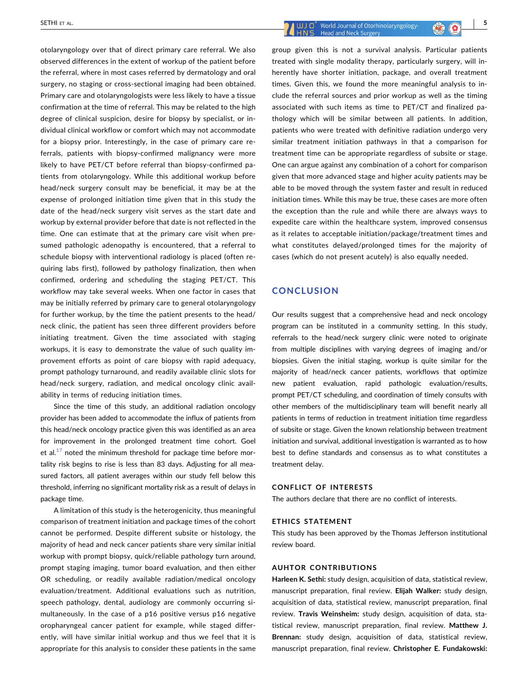otolaryngology over that of direct primary care referral. We also observed differences in the extent of workup of the patient before the referral, where in most cases referred by dermatology and oral surgery, no staging or cross‐sectional imaging had been obtained. Primary care and otolaryngologists were less likely to have a tissue confirmation at the time of referral. This may be related to the high degree of clinical suspicion, desire for biopsy by specialist, or individual clinical workflow or comfort which may not accommodate for a biopsy prior. Interestingly, in the case of primary care referrals, patients with biopsy-confirmed malignancy were more likely to have PET/CT before referral than biopsy-confirmed patients from otolaryngology. While this additional workup before head/neck surgery consult may be beneficial, it may be at the expense of prolonged initiation time given that in this study the date of the head/neck surgery visit serves as the start date and workup by external provider before that date is not reflected in the time. One can estimate that at the primary care visit when presumed pathologic adenopathy is encountered, that a referral to schedule biopsy with interventional radiology is placed (often requiring labs first), followed by pathology finalization, then when confirmed, ordering and scheduling the staging PET/CT. This workflow may take several weeks. When one factor in cases that may be initially referred by primary care to general otolaryngology for further workup, by the time the patient presents to the head/ neck clinic, the patient has seen three different providers before initiating treatment. Given the time associated with staging workups, it is easy to demonstrate the value of such quality improvement efforts as point of care biopsy with rapid adequacy, prompt pathology turnaround, and readily available clinic slots for head/neck surgery, radiation, and medical oncology clinic availability in terms of reducing initiation times.

Since the time of this study, an additional radiation oncology provider has been added to accommodate the influx of patients from this head/neck oncology practice given this was identified as an area for improvement in the prolonged treatment time cohort. Goel et al. $17$  noted the minimum threshold for package time before mortality risk begins to rise is less than 83 days. Adjusting for all measured factors, all patient averages within our study fell below this threshold, inferring no significant mortality risk as a result of delays in package time.

A limitation of this study is the heterogenicity, thus meaningful comparison of treatment initiation and package times of the cohort cannot be performed. Despite different subsite or histology, the majority of head and neck cancer patients share very similar initial workup with prompt biopsy, quick/reliable pathology turn around, prompt staging imaging, tumor board evaluation, and then either OR scheduling, or readily available radiation/medical oncology evaluation/treatment. Additional evaluations such as nutrition, speech pathology, dental, audiology are commonly occurring simultaneously. In the case of a p16 positive versus p16 negative oropharyngeal cancer patient for example, while staged differently, will have similar initial workup and thus we feel that it is appropriate for this analysis to consider these patients in the same

SETHI ET AL.  $\begin{array}{|c|c|c|c|c|c|}\hline \text{S} & \text{Word Journal of Otorhinolaryngology-} \\\hline \end{array}$ 

group given this is not a survival analysis. Particular patients treated with single modality therapy, particularly surgery, will inherently have shorter initiation, package, and overall treatment times. Given this, we found the more meaningful analysis to include the referral sources and prior workup as well as the timing associated with such items as time to PET/CT and finalized pathology which will be similar between all patients. In addition, patients who were treated with definitive radiation undergo very similar treatment initiation pathways in that a comparison for treatment time can be appropriate regardless of subsite or stage. One can argue against any combination of a cohort for comparison given that more advanced stage and higher acuity patients may be able to be moved through the system faster and result in reduced initiation times. While this may be true, these cases are more often the exception than the rule and while there are always ways to expedite care within the healthcare system, improved consensus as it relates to acceptable initiation/package/treatment times and what constitutes delayed/prolonged times for the majority of cases (which do not present acutely) is also equally needed.

### **CONCLUSION**

Our results suggest that a comprehensive head and neck oncology program can be instituted in a community setting. In this study, referrals to the head/neck surgery clinic were noted to originate from multiple disciplines with varying degrees of imaging and/or biopsies. Given the initial staging, workup is quite similar for the majority of head/neck cancer patients, workflows that optimize new patient evaluation, rapid pathologic evaluation/results, prompt PET/CT scheduling, and coordination of timely consults with other members of the multidisciplinary team will benefit nearly all patients in terms of reduction in treatment initiation time regardless of subsite or stage. Given the known relationship between treatment initiation and survival, additional investigation is warranted as to how best to define standards and consensus as to what constitutes a treatment delay.

#### CONFLICT OF INTERESTS

The authors declare that there are no conflict of interests.

#### ETHICS STATEMENT

This study has been approved by the Thomas Jefferson institutional review board.

#### AUHTOR CONTRIBUTIONS

Harleen K. Sethi: study design, acquisition of data, statistical review, manuscript preparation, final review. Elijah Walker: study design, acquisition of data, statistical review, manuscript preparation, final review. Travis Weinsheim: study design, acquisition of data, statistical review, manuscript preparation, final review. Matthew J. Brennan: study design, acquisition of data, statistical review, manuscript preparation, final review. Christopher E. Fundakowski: